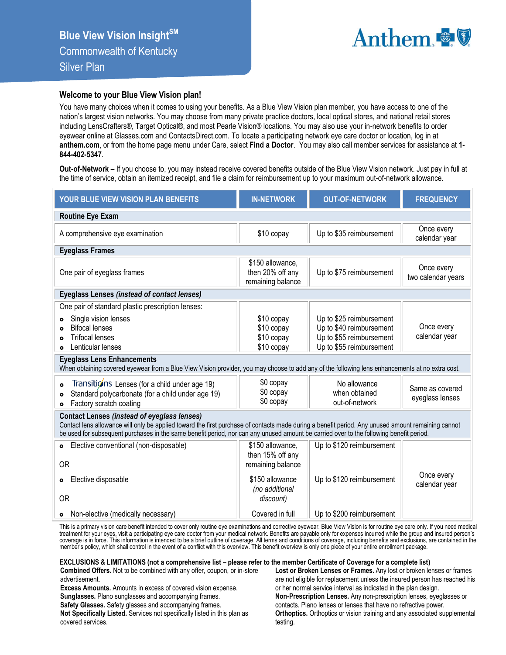

## **Welcome to your Blue View Vision plan!**

You have many choices when it comes to using your benefits. As a Blue View Vision plan member, you have access to one of the nation's largest vision networks. You may choose from many private practice doctors, local optical stores, and national retail stores including LensCrafters®, Target Optical®, and most Pearle Vision® locations. You may also use your in-network benefits to order eyewear online at Glasses.com and ContactsDirect.com. To locate a participating network eye care doctor or location, log in at **anthem.com**, or from the home page menu under Care, select **Find a Doctor**. You may also call member services for assistance at **1- 844-402-5347**.

**Out-of-Network –** If you choose to, you may instead receive covered benefits outside of the Blue View Vision network. Just pay in full at the time of service, obtain an itemized receipt, and file a claim for reimbursement up to your maximum out-of-network allowance.

| YOUR BLUE VIEW VISION PLAN BENEFITS                                                                                                                                                                                                                                                                                                                                                                                                                                                                                                                        | <b>IN-NETWORK</b>                                                                                           | <b>OUT-OF-NETWORK</b>                                                                                                                                           | <b>FREQUENCY</b>                                                  |  |  |  |  |  |
|------------------------------------------------------------------------------------------------------------------------------------------------------------------------------------------------------------------------------------------------------------------------------------------------------------------------------------------------------------------------------------------------------------------------------------------------------------------------------------------------------------------------------------------------------------|-------------------------------------------------------------------------------------------------------------|-----------------------------------------------------------------------------------------------------------------------------------------------------------------|-------------------------------------------------------------------|--|--|--|--|--|
| <b>Routine Eye Exam</b>                                                                                                                                                                                                                                                                                                                                                                                                                                                                                                                                    |                                                                                                             |                                                                                                                                                                 |                                                                   |  |  |  |  |  |
| A comprehensive eye examination                                                                                                                                                                                                                                                                                                                                                                                                                                                                                                                            | \$10 copay                                                                                                  | Up to \$35 reimbursement                                                                                                                                        | Once every<br>calendar year                                       |  |  |  |  |  |
| <b>Eyeglass Frames</b>                                                                                                                                                                                                                                                                                                                                                                                                                                                                                                                                     |                                                                                                             |                                                                                                                                                                 |                                                                   |  |  |  |  |  |
| One pair of eyeglass frames                                                                                                                                                                                                                                                                                                                                                                                                                                                                                                                                | \$150 allowance,<br>then 20% off any<br>remaining balance                                                   | Up to \$75 reimbursement                                                                                                                                        | Once every<br>two calendar years                                  |  |  |  |  |  |
| <b>Eyeglass Lenses (instead of contact lenses)</b>                                                                                                                                                                                                                                                                                                                                                                                                                                                                                                         |                                                                                                             |                                                                                                                                                                 |                                                                   |  |  |  |  |  |
| One pair of standard plastic prescription lenses:<br>Single vision lenses<br><b>Bifocal lenses</b><br><b>Trifocal lenses</b><br>Lenticular lenses<br><b>Eyeglass Lens Enhancements</b><br>When obtaining covered eyewear from a Blue View Vision provider, you may choose to add any of the following lens enhancements at no extra cost.<br>Transitions Lenses (for a child under age 19)<br>$\bullet$<br>Standard polycarbonate (for a child under age 19)<br>Factory scratch coating<br>$\bullet$<br><b>Contact Lenses (instead of eyeglass lenses)</b> | \$10 copay<br>\$10 copay<br>\$10 copay<br>\$10 copay<br>\$0 copay<br>\$0 copay<br>\$0 copay                 | Up to \$25 reimbursement<br>Up to \$40 reimbursement<br>Up to \$55 reimbursement<br>Up to \$55 reimbursement<br>No allowance<br>when obtained<br>out-of-network | Once every<br>calendar year<br>Same as covered<br>eyeglass lenses |  |  |  |  |  |
| Contact lens allowance will only be applied toward the first purchase of contacts made during a benefit period. Any unused amount remaining cannot<br>be used for subsequent purchases in the same benefit period, nor can any unused amount be carried over to the following benefit period.                                                                                                                                                                                                                                                              |                                                                                                             |                                                                                                                                                                 |                                                                   |  |  |  |  |  |
| Elective conventional (non-disposable)<br>$\bullet$<br><b>OR</b><br>Elective disposable<br>$\bullet$<br>0R                                                                                                                                                                                                                                                                                                                                                                                                                                                 | \$150 allowance,<br>then 15% off any<br>remaining balance<br>\$150 allowance<br>(no additional<br>discount) | Up to \$120 reimbursement<br>Up to \$120 reimbursement                                                                                                          | Once every<br>calendar year                                       |  |  |  |  |  |
| • Non-elective (medically necessary)                                                                                                                                                                                                                                                                                                                                                                                                                                                                                                                       | Covered in full                                                                                             | Up to \$200 reimbursement                                                                                                                                       |                                                                   |  |  |  |  |  |

This is a primary vision care benefit intended to cover only routine eye examinations and corrective eyewear. Blue View Vision is for routine eye care only. If you need medical treatment for your eyes, visit a participating eye care doctor from your medical network. Benefits are payable only for expenses incurred while the group and insured person's<br>coverage is in force. This information is inten member's policy, which shall control in the event of a conflict with this overview. This benefit overview is only one piece of your entire enrollment package.

## **EXCLUSIONS & LIMITATIONS (not a comprehensive list – please refer to the member Certificate of Coverage for a complete list)**

**Combined Offers.** Not to be combined with any offer, coupon, or in-store advertisement.

**Excess Amounts.** Amounts in excess of covered vision expense. **Sunglasses.** Plano sunglasses and accompanying frames.

**Safety Glasses.** Safety glasses and accompanying frames.

**Not Specifically Listed.** Services not specifically listed in this plan as covered services.

**Lost or Broken Lenses or Frames.** Any lost or broken lenses or frames are not eligible for replacement unless the insured person has reached his or her normal service interval as indicated in the plan design. **Non-Prescription Lenses.** Any non-prescription lenses, eyeglasses or contacts. Plano lenses or lenses that have no refractive power. **Orthoptics.** Orthoptics or vision training and any associated supplemental testing.